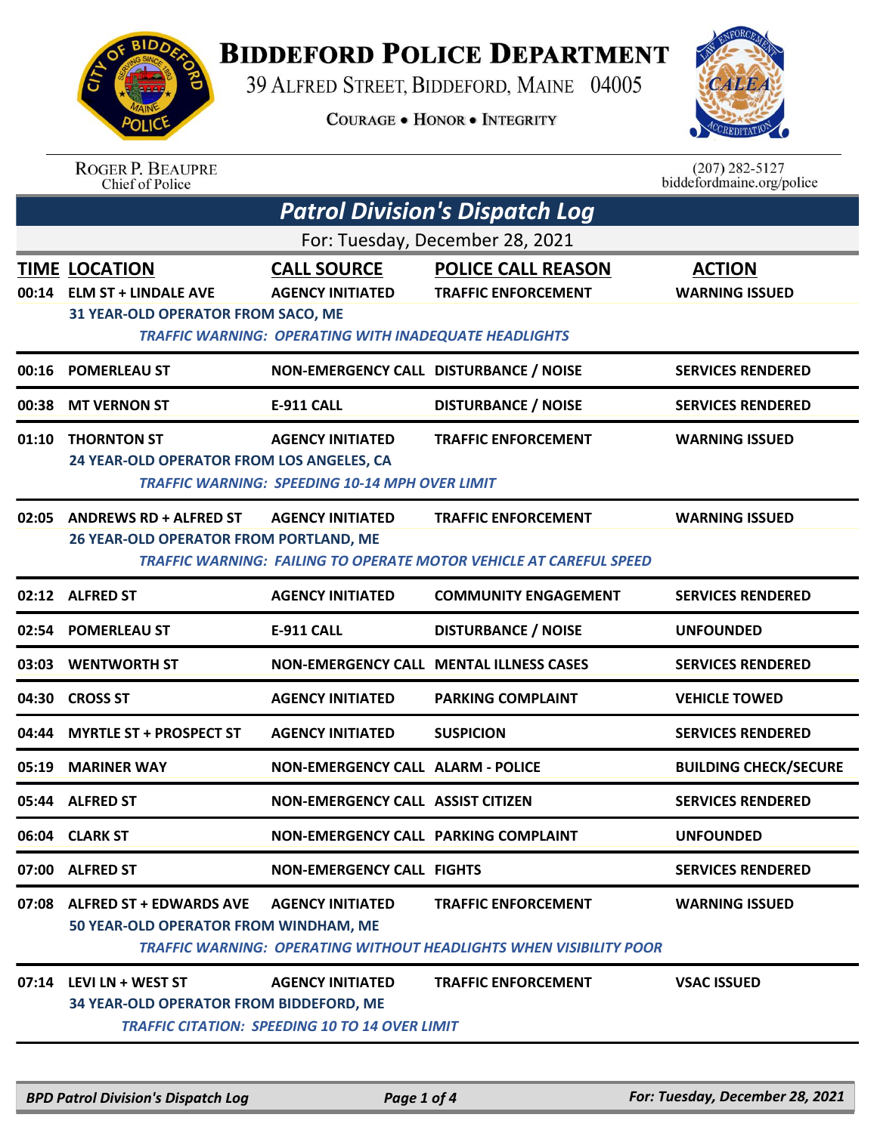

## **BIDDEFORD POLICE DEPARTMENT**

39 ALFRED STREET, BIDDEFORD, MAINE 04005

**COURAGE . HONOR . INTEGRITY** 



| <b>ROGER P. BEAUPRE</b> |
|-------------------------|
| Chief of Police         |

 $(207)$  282-5127 biddefordmaine.org/police

| <b>Patrol Division's Dispatch Log</b> |                                                                                          |                                                                                                               |                                                                                                         |                                        |  |  |
|---------------------------------------|------------------------------------------------------------------------------------------|---------------------------------------------------------------------------------------------------------------|---------------------------------------------------------------------------------------------------------|----------------------------------------|--|--|
|                                       | For: Tuesday, December 28, 2021                                                          |                                                                                                               |                                                                                                         |                                        |  |  |
|                                       | <b>TIME LOCATION</b><br>00:14 ELM ST + LINDALE AVE<br>31 YEAR-OLD OPERATOR FROM SACO, ME | <b>CALL SOURCE</b><br><b>AGENCY INITIATED</b><br><b>TRAFFIC WARNING: OPERATING WITH INADEQUATE HEADLIGHTS</b> | <b>POLICE CALL REASON</b><br><b>TRAFFIC ENFORCEMENT</b>                                                 | <b>ACTION</b><br><b>WARNING ISSUED</b> |  |  |
| 00:16                                 | <b>POMERLEAU ST</b>                                                                      | NON-EMERGENCY CALL DISTURBANCE / NOISE                                                                        |                                                                                                         | <b>SERVICES RENDERED</b>               |  |  |
| 00:38                                 | <b>MT VERNON ST</b>                                                                      | <b>E-911 CALL</b>                                                                                             | <b>DISTURBANCE / NOISE</b>                                                                              | <b>SERVICES RENDERED</b>               |  |  |
| 01:10                                 | <b>THORNTON ST</b><br>24 YEAR-OLD OPERATOR FROM LOS ANGELES, CA                          | <b>AGENCY INITIATED</b><br><b>TRAFFIC WARNING: SPEEDING 10-14 MPH OVER LIMIT</b>                              | <b>TRAFFIC ENFORCEMENT</b>                                                                              | <b>WARNING ISSUED</b>                  |  |  |
| 02:05                                 | <b>ANDREWS RD + ALFRED ST</b><br>26 YEAR-OLD OPERATOR FROM PORTLAND, ME                  | <b>AGENCY INITIATED</b>                                                                                       | <b>TRAFFIC ENFORCEMENT</b><br><b>TRAFFIC WARNING: FAILING TO OPERATE MOTOR VEHICLE AT CAREFUL SPEED</b> | <b>WARNING ISSUED</b>                  |  |  |
|                                       | 02:12 ALFRED ST                                                                          | <b>AGENCY INITIATED</b>                                                                                       | <b>COMMUNITY ENGAGEMENT</b>                                                                             | <b>SERVICES RENDERED</b>               |  |  |
|                                       | 02:54 POMERLEAU ST                                                                       | <b>E-911 CALL</b>                                                                                             | <b>DISTURBANCE / NOISE</b>                                                                              | <b>UNFOUNDED</b>                       |  |  |
|                                       | 03:03 WENTWORTH ST                                                                       |                                                                                                               | <b>NON-EMERGENCY CALL MENTAL ILLNESS CASES</b>                                                          | <b>SERVICES RENDERED</b>               |  |  |
|                                       | 04:30 CROSS ST                                                                           | <b>AGENCY INITIATED</b>                                                                                       | <b>PARKING COMPLAINT</b>                                                                                | <b>VEHICLE TOWED</b>                   |  |  |
| 04:44                                 | <b>MYRTLE ST + PROSPECT ST</b>                                                           | <b>AGENCY INITIATED</b>                                                                                       | <b>SUSPICION</b>                                                                                        | <b>SERVICES RENDERED</b>               |  |  |
| 05:19                                 | <b>MARINER WAY</b>                                                                       | <b>NON-EMERGENCY CALL ALARM - POLICE</b>                                                                      |                                                                                                         | <b>BUILDING CHECK/SECURE</b>           |  |  |
|                                       | 05:44 ALFRED ST                                                                          | <b>NON-EMERGENCY CALL ASSIST CITIZEN</b>                                                                      |                                                                                                         | <b>SERVICES RENDERED</b>               |  |  |
|                                       | 06:04 CLARK ST                                                                           | NON-EMERGENCY CALL PARKING COMPLAINT                                                                          |                                                                                                         | <b>UNFOUNDED</b>                       |  |  |
|                                       | 07:00 ALFRED ST                                                                          | <b>NON-EMERGENCY CALL FIGHTS</b>                                                                              |                                                                                                         | <b>SERVICES RENDERED</b>               |  |  |
|                                       | 07:08 ALFRED ST + EDWARDS AVE<br>50 YEAR-OLD OPERATOR FROM WINDHAM, ME                   | <b>AGENCY INITIATED</b>                                                                                       | <b>TRAFFIC ENFORCEMENT</b><br>TRAFFIC WARNING: OPERATING WITHOUT HEADLIGHTS WHEN VISIBILITY POOR        | <b>WARNING ISSUED</b>                  |  |  |
|                                       | 07:14 LEVI LN + WEST ST<br>34 YEAR-OLD OPERATOR FROM BIDDEFORD, ME                       | <b>AGENCY INITIATED</b><br><b>TRAFFIC CITATION: SPEEDING 10 TO 14 OVER LIMIT</b>                              | <b>TRAFFIC ENFORCEMENT</b>                                                                              | <b>VSAC ISSUED</b>                     |  |  |
|                                       |                                                                                          |                                                                                                               |                                                                                                         |                                        |  |  |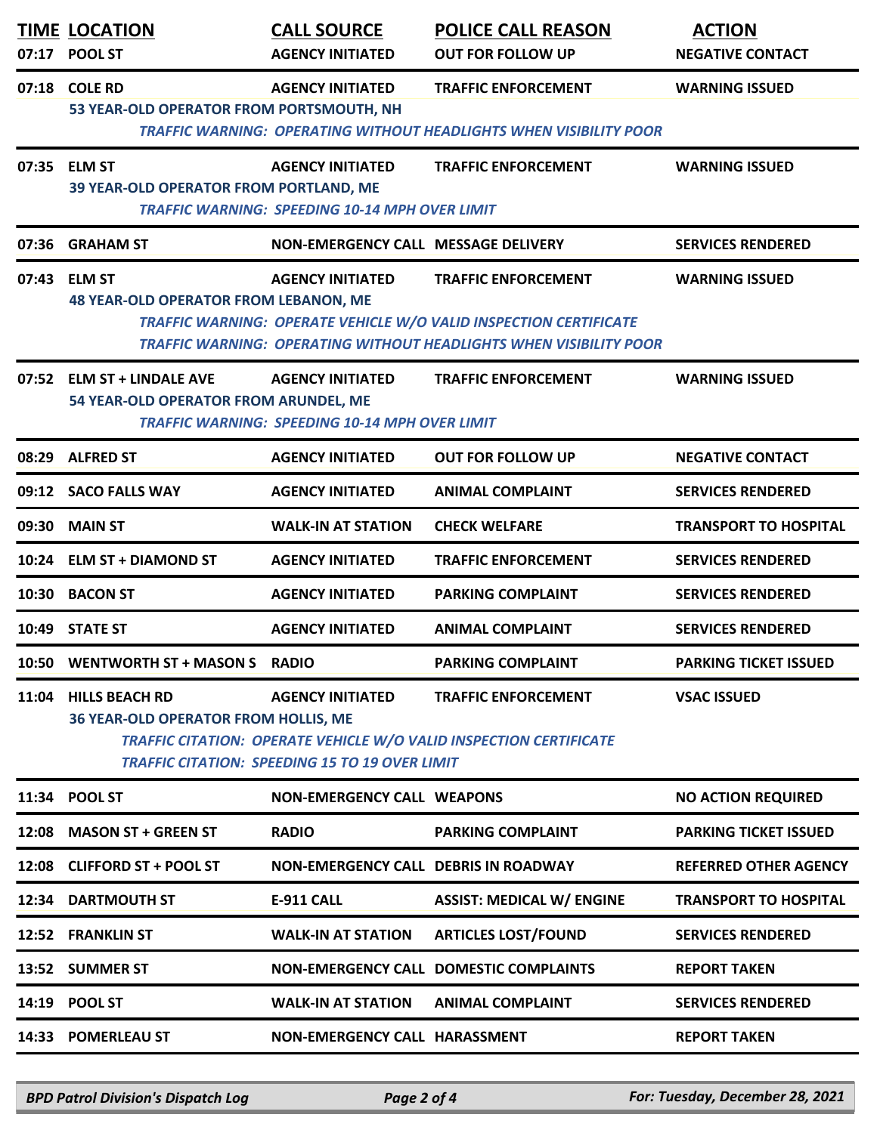| <b>POOL ST</b>              | <b>CALL SOURCE</b><br><b>AGENCY INITIATED</b>                                                                                                                                                                                                                                      | <b>POLICE CALL REASON</b><br><b>OUT FOR FOLLOW UP</b>                                                                                                                                                                                                      | <b>ACTION</b><br><b>NEGATIVE CONTACT</b>                                                                                                                                                                                                                                                                                                                                                                                                                                                                                                                                                                                                                                           |
|-----------------------------|------------------------------------------------------------------------------------------------------------------------------------------------------------------------------------------------------------------------------------------------------------------------------------|------------------------------------------------------------------------------------------------------------------------------------------------------------------------------------------------------------------------------------------------------------|------------------------------------------------------------------------------------------------------------------------------------------------------------------------------------------------------------------------------------------------------------------------------------------------------------------------------------------------------------------------------------------------------------------------------------------------------------------------------------------------------------------------------------------------------------------------------------------------------------------------------------------------------------------------------------|
| <b>COLE RD</b>              | <b>AGENCY INITIATED</b>                                                                                                                                                                                                                                                            | <b>TRAFFIC ENFORCEMENT</b>                                                                                                                                                                                                                                 | <b>WARNING ISSUED</b>                                                                                                                                                                                                                                                                                                                                                                                                                                                                                                                                                                                                                                                              |
|                             | <b>AGENCY INITIATED</b>                                                                                                                                                                                                                                                            | <b>TRAFFIC ENFORCEMENT</b>                                                                                                                                                                                                                                 | <b>WARNING ISSUED</b>                                                                                                                                                                                                                                                                                                                                                                                                                                                                                                                                                                                                                                                              |
| <b>GRAHAM ST</b>            |                                                                                                                                                                                                                                                                                    |                                                                                                                                                                                                                                                            | <b>SERVICES RENDERED</b>                                                                                                                                                                                                                                                                                                                                                                                                                                                                                                                                                                                                                                                           |
| <b>ELM ST</b>               | <b>AGENCY INITIATED</b>                                                                                                                                                                                                                                                            | <b>TRAFFIC ENFORCEMENT</b>                                                                                                                                                                                                                                 | <b>WARNING ISSUED</b>                                                                                                                                                                                                                                                                                                                                                                                                                                                                                                                                                                                                                                                              |
| <b>ELM ST + LINDALE AVE</b> | <b>AGENCY INITIATED</b>                                                                                                                                                                                                                                                            | <b>TRAFFIC ENFORCEMENT</b>                                                                                                                                                                                                                                 | <b>WARNING ISSUED</b>                                                                                                                                                                                                                                                                                                                                                                                                                                                                                                                                                                                                                                                              |
| <b>ALFRED ST</b>            | <b>AGENCY INITIATED</b>                                                                                                                                                                                                                                                            | <b>OUT FOR FOLLOW UP</b>                                                                                                                                                                                                                                   | <b>NEGATIVE CONTACT</b>                                                                                                                                                                                                                                                                                                                                                                                                                                                                                                                                                                                                                                                            |
| <b>SACO FALLS WAY</b>       | <b>AGENCY INITIATED</b>                                                                                                                                                                                                                                                            | <b>ANIMAL COMPLAINT</b>                                                                                                                                                                                                                                    | <b>SERVICES RENDERED</b>                                                                                                                                                                                                                                                                                                                                                                                                                                                                                                                                                                                                                                                           |
| <b>MAIN ST</b>              | <b>WALK-IN AT STATION</b>                                                                                                                                                                                                                                                          | <b>CHECK WELFARE</b>                                                                                                                                                                                                                                       | <b>TRANSPORT TO HOSPITAL</b>                                                                                                                                                                                                                                                                                                                                                                                                                                                                                                                                                                                                                                                       |
| <b>ELM ST + DIAMOND ST</b>  | <b>AGENCY INITIATED</b>                                                                                                                                                                                                                                                            | <b>TRAFFIC ENFORCEMENT</b>                                                                                                                                                                                                                                 | <b>SERVICES RENDERED</b>                                                                                                                                                                                                                                                                                                                                                                                                                                                                                                                                                                                                                                                           |
| <b>BACON ST</b>             | <b>AGENCY INITIATED</b>                                                                                                                                                                                                                                                            | <b>PARKING COMPLAINT</b>                                                                                                                                                                                                                                   | <b>SERVICES RENDERED</b>                                                                                                                                                                                                                                                                                                                                                                                                                                                                                                                                                                                                                                                           |
| <b>STATE ST</b>             | <b>AGENCY INITIATED</b>                                                                                                                                                                                                                                                            | <b>ANIMAL COMPLAINT</b>                                                                                                                                                                                                                                    | <b>SERVICES RENDERED</b>                                                                                                                                                                                                                                                                                                                                                                                                                                                                                                                                                                                                                                                           |
|                             |                                                                                                                                                                                                                                                                                    | <b>PARKING COMPLAINT</b>                                                                                                                                                                                                                                   | <b>PARKING TICKET ISSUED</b>                                                                                                                                                                                                                                                                                                                                                                                                                                                                                                                                                                                                                                                       |
|                             | <b>AGENCY INITIATED</b>                                                                                                                                                                                                                                                            | <b>TRAFFIC ENFORCEMENT</b>                                                                                                                                                                                                                                 | <b>VSAC ISSUED</b>                                                                                                                                                                                                                                                                                                                                                                                                                                                                                                                                                                                                                                                                 |
|                             |                                                                                                                                                                                                                                                                                    |                                                                                                                                                                                                                                                            | <b>NO ACTION REQUIRED</b>                                                                                                                                                                                                                                                                                                                                                                                                                                                                                                                                                                                                                                                          |
|                             | <b>RADIO</b>                                                                                                                                                                                                                                                                       | <b>PARKING COMPLAINT</b>                                                                                                                                                                                                                                   | <b>PARKING TICKET ISSUED</b>                                                                                                                                                                                                                                                                                                                                                                                                                                                                                                                                                                                                                                                       |
|                             |                                                                                                                                                                                                                                                                                    |                                                                                                                                                                                                                                                            | <b>REFERRED OTHER AGENCY</b>                                                                                                                                                                                                                                                                                                                                                                                                                                                                                                                                                                                                                                                       |
|                             | <b>E-911 CALL</b>                                                                                                                                                                                                                                                                  | <b>ASSIST: MEDICAL W/ ENGINE</b>                                                                                                                                                                                                                           | <b>TRANSPORT TO HOSPITAL</b>                                                                                                                                                                                                                                                                                                                                                                                                                                                                                                                                                                                                                                                       |
|                             | <b>WALK-IN AT STATION</b>                                                                                                                                                                                                                                                          | <b>ARTICLES LOST/FOUND</b>                                                                                                                                                                                                                                 | <b>SERVICES RENDERED</b>                                                                                                                                                                                                                                                                                                                                                                                                                                                                                                                                                                                                                                                           |
|                             |                                                                                                                                                                                                                                                                                    |                                                                                                                                                                                                                                                            | <b>REPORT TAKEN</b>                                                                                                                                                                                                                                                                                                                                                                                                                                                                                                                                                                                                                                                                |
|                             | <b>WALK-IN AT STATION</b>                                                                                                                                                                                                                                                          | <b>ANIMAL COMPLAINT</b>                                                                                                                                                                                                                                    | <b>SERVICES RENDERED</b>                                                                                                                                                                                                                                                                                                                                                                                                                                                                                                                                                                                                                                                           |
|                             |                                                                                                                                                                                                                                                                                    |                                                                                                                                                                                                                                                            | <b>REPORT TAKEN</b>                                                                                                                                                                                                                                                                                                                                                                                                                                                                                                                                                                                                                                                                |
|                             | <b>TIME LOCATION</b><br>07:35 ELM ST<br>08:29<br>09:12<br>10:24<br>10:50<br>11:04 HILLS BEACH RD<br>11:34 POOL ST<br>12:08 MASON ST + GREEN ST<br>12:08 CLIFFORD ST + POOL ST<br>12:34 DARTMOUTH ST<br>12:52 FRANKLIN ST<br>13:52 SUMMER ST<br>14:19 POOL ST<br>14:33 POMERLEAU ST | 53 YEAR-OLD OPERATOR FROM PORTSMOUTH, NH<br>39 YEAR-OLD OPERATOR FROM PORTLAND, ME<br><b>48 YEAR-OLD OPERATOR FROM LEBANON, ME</b><br>54 YEAR-OLD OPERATOR FROM ARUNDEL, ME<br>WENTWORTH ST + MASON S RADIO<br><b>36 YEAR-OLD OPERATOR FROM HOLLIS, ME</b> | <b>TRAFFIC WARNING: OPERATING WITHOUT HEADLIGHTS WHEN VISIBILITY POOR</b><br><b>TRAFFIC WARNING: SPEEDING 10-14 MPH OVER LIMIT</b><br>NON-EMERGENCY CALL MESSAGE DELIVERY<br>TRAFFIC WARNING: OPERATE VEHICLE W/O VALID INSPECTION CERTIFICATE<br><b>TRAFFIC WARNING: OPERATING WITHOUT HEADLIGHTS WHEN VISIBILITY POOR</b><br><b>TRAFFIC WARNING: SPEEDING 10-14 MPH OVER LIMIT</b><br><b>TRAFFIC CITATION: OPERATE VEHICLE W/O VALID INSPECTION CERTIFICATE</b><br><b>TRAFFIC CITATION: SPEEDING 15 TO 19 OVER LIMIT</b><br><b>NON-EMERGENCY CALL WEAPONS</b><br>NON-EMERGENCY CALL DEBRIS IN ROADWAY<br>NON-EMERGENCY CALL DOMESTIC COMPLAINTS<br>NON-EMERGENCY CALL HARASSMENT |

*BPD Patrol Division's Dispatch Log Page 2 of 4 For: Tuesday, December 28, 2021*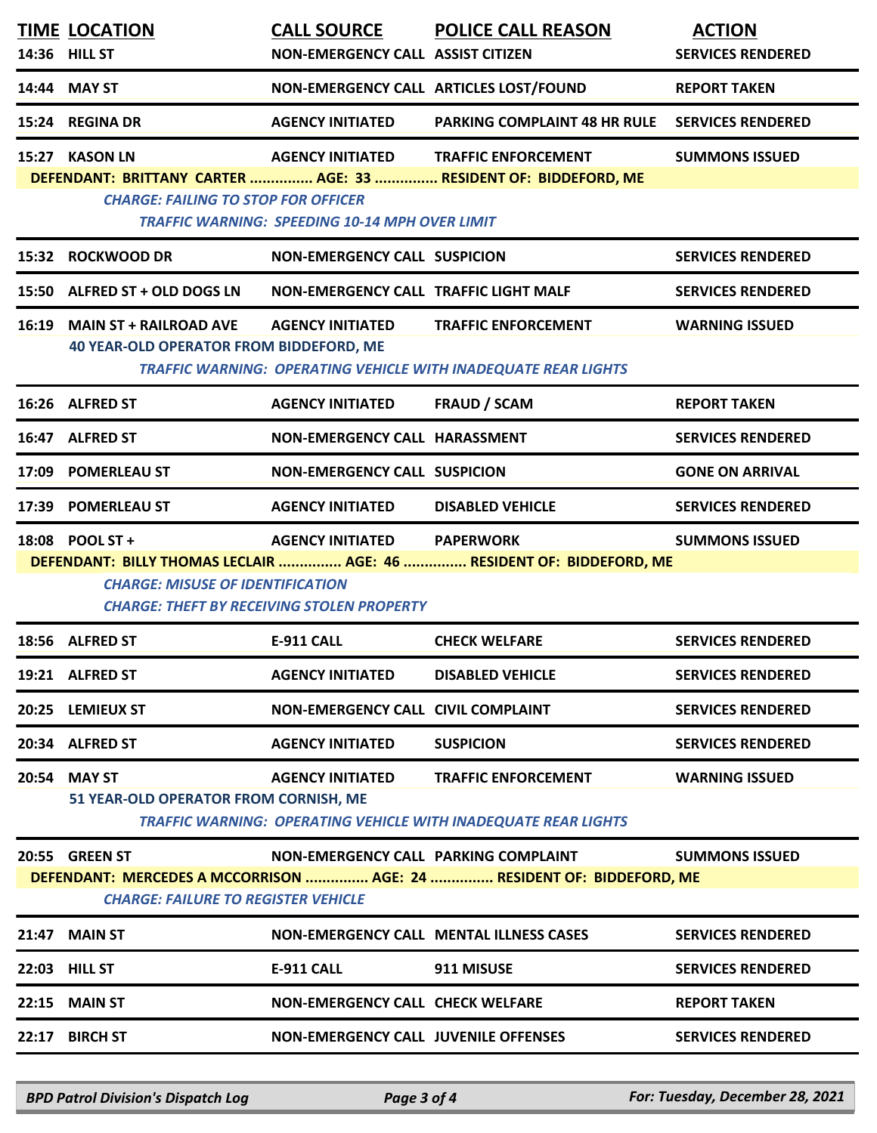| <b>TIME LOCATION</b><br>14:36 HILL ST                                                                               | <b>CALL SOURCE</b><br>NON-EMERGENCY CALL ASSIST CITIZEN                          | <b>POLICE CALL REASON</b>                                                                           | <b>ACTION</b><br><b>SERVICES RENDERED</b> |  |
|---------------------------------------------------------------------------------------------------------------------|----------------------------------------------------------------------------------|-----------------------------------------------------------------------------------------------------|-------------------------------------------|--|
| 14:44 MAY ST                                                                                                        | NON-EMERGENCY CALL ARTICLES LOST/FOUND                                           |                                                                                                     | <b>REPORT TAKEN</b>                       |  |
| 15:24 REGINA DR                                                                                                     | <b>AGENCY INITIATED</b>                                                          | <b>PARKING COMPLAINT 48 HR RULE</b>                                                                 | <b>SERVICES RENDERED</b>                  |  |
| 15:27 KASON LN<br><b>CHARGE: FAILING TO STOP FOR OFFICER</b>                                                        | <b>AGENCY INITIATED</b><br><b>TRAFFIC WARNING: SPEEDING 10-14 MPH OVER LIMIT</b> | <b>TRAFFIC ENFORCEMENT</b><br>DEFENDANT: BRITTANY CARTER  AGE: 33  RESIDENT OF: BIDDEFORD, ME       | <b>SUMMONS ISSUED</b>                     |  |
| 15:32 ROCKWOOD DR                                                                                                   | <b>NON-EMERGENCY CALL SUSPICION</b>                                              |                                                                                                     | <b>SERVICES RENDERED</b>                  |  |
| 15:50 ALFRED ST + OLD DOGS LN                                                                                       | NON-EMERGENCY CALL TRAFFIC LIGHT MALF                                            |                                                                                                     | <b>SERVICES RENDERED</b>                  |  |
| 16:19 MAIN ST + RAILROAD AVE<br>40 YEAR-OLD OPERATOR FROM BIDDEFORD, ME                                             | <b>AGENCY INITIATED</b>                                                          | <b>TRAFFIC ENFORCEMENT</b><br><b>TRAFFIC WARNING: OPERATING VEHICLE WITH INADEQUATE REAR LIGHTS</b> | <b>WARNING ISSUED</b>                     |  |
| 16:26 ALFRED ST                                                                                                     | <b>AGENCY INITIATED</b>                                                          | <b>FRAUD / SCAM</b>                                                                                 | <b>REPORT TAKEN</b>                       |  |
| 16:47 ALFRED ST                                                                                                     | NON-EMERGENCY CALL HARASSMENT                                                    |                                                                                                     | <b>SERVICES RENDERED</b>                  |  |
| 17:09 POMERLEAU ST                                                                                                  | <b>NON-EMERGENCY CALL SUSPICION</b>                                              |                                                                                                     | <b>GONE ON ARRIVAL</b>                    |  |
| 17:39 POMERLEAU ST                                                                                                  | <b>AGENCY INITIATED</b>                                                          | <b>DISABLED VEHICLE</b>                                                                             | <b>SERVICES RENDERED</b>                  |  |
| 18:08 POOL ST +                                                                                                     | <b>AGENCY INITIATED</b>                                                          | <b>PAPERWORK</b><br>DEFENDANT: BILLY THOMAS LECLAIR  AGE: 46  RESIDENT OF: BIDDEFORD, ME            | <b>SUMMONS ISSUED</b>                     |  |
| <b>CHARGE: MISUSE OF IDENTIFICATION</b><br><b>CHARGE: THEFT BY RECEIVING STOLEN PROPERTY</b>                        |                                                                                  |                                                                                                     |                                           |  |
| 18:56 ALFRED ST                                                                                                     | <b>E-911 CALL</b>                                                                | <b>CHECK WELFARE</b>                                                                                | <b>SERVICES RENDERED</b>                  |  |
| 19:21 ALFRED ST                                                                                                     | <b>AGENCY INITIATED</b>                                                          | <b>DISABLED VEHICLE</b>                                                                             | <b>SERVICES RENDERED</b>                  |  |
| 20:25 LEMIEUX ST                                                                                                    | NON-EMERGENCY CALL CIVIL COMPLAINT                                               |                                                                                                     | <b>SERVICES RENDERED</b>                  |  |
| 20:34 ALFRED ST                                                                                                     | <b>AGENCY INITIATED</b>                                                          | <b>SUSPICION</b>                                                                                    | <b>SERVICES RENDERED</b>                  |  |
| 20:54 MAY ST<br>51 YEAR-OLD OPERATOR FROM CORNISH, ME                                                               | <b>AGENCY INITIATED</b>                                                          | <b>TRAFFIC ENFORCEMENT</b><br><b>TRAFFIC WARNING: OPERATING VEHICLE WITH INADEQUATE REAR LIGHTS</b> | <b>WARNING ISSUED</b>                     |  |
| <b>20:55 GREEN ST</b>                                                                                               | NON-EMERGENCY CALL PARKING COMPLAINT                                             |                                                                                                     | <b>SUMMONS ISSUED</b>                     |  |
| DEFENDANT: MERCEDES A MCCORRISON  AGE: 24  RESIDENT OF: BIDDEFORD, ME<br><b>CHARGE: FAILURE TO REGISTER VEHICLE</b> |                                                                                  |                                                                                                     |                                           |  |
| 21:47 MAIN ST                                                                                                       |                                                                                  | <b>NON-EMERGENCY CALL MENTAL ILLNESS CASES</b>                                                      | <b>SERVICES RENDERED</b>                  |  |
| 22:03 HILL ST                                                                                                       | <b>E-911 CALL</b>                                                                | 911 MISUSE                                                                                          | <b>SERVICES RENDERED</b>                  |  |
| 22:15 MAIN ST                                                                                                       | <b>NON-EMERGENCY CALL CHECK WELFARE</b>                                          |                                                                                                     | <b>REPORT TAKEN</b>                       |  |
| 22:17 BIRCH ST                                                                                                      | <b>NON-EMERGENCY CALL JUVENILE OFFENSES</b>                                      |                                                                                                     | <b>SERVICES RENDERED</b>                  |  |